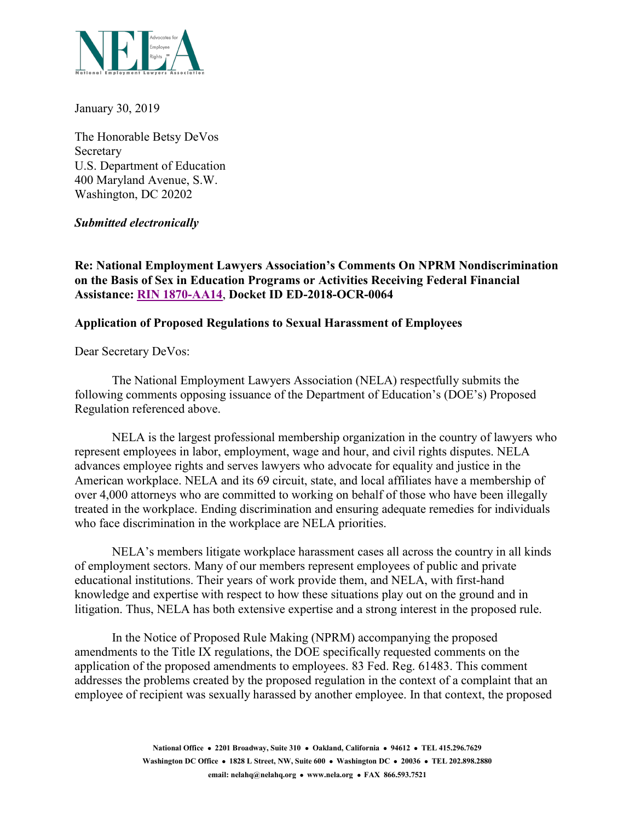

January 30, 2019

The Honorable Betsy DeVos Secretary U.S. Department of Education 400 Maryland Avenue, S.W. Washington, DC 20202

# *Submitted electronically*

**Re: National Employment Lawyers Association's Comments On NPRM Nondiscrimination on the Basis of Sex in Education Programs or Activities Receiving Federal Financial Assistance: [RIN 1870-AA14](https://www.federalregister.gov/documents/2018/11/29/2018-25314/nondiscrimination-on-the-basis-of-sex-in-education-programs-or-activities-receiving-federal)**, **Docket ID ED-2018-OCR-0064**

## **Application of Proposed Regulations to Sexual Harassment of Employees**

Dear Secretary DeVos:

The National Employment Lawyers Association (NELA) respectfully submits the following comments opposing issuance of the Department of Education's (DOE's) Proposed Regulation referenced above.

NELA is the largest professional membership organization in the country of lawyers who represent employees in labor, employment, wage and hour, and civil rights disputes. NELA advances employee rights and serves lawyers who advocate for equality and justice in the American workplace. NELA and its 69 circuit, state, and local affiliates have a membership of over 4,000 attorneys who are committed to working on behalf of those who have been illegally treated in the workplace. Ending discrimination and ensuring adequate remedies for individuals who face discrimination in the workplace are NELA priorities.

NELA's members litigate workplace harassment cases all across the country in all kinds of employment sectors. Many of our members represent employees of public and private educational institutions. Their years of work provide them, and NELA, with first-hand knowledge and expertise with respect to how these situations play out on the ground and in litigation. Thus, NELA has both extensive expertise and a strong interest in the proposed rule.

In the Notice of Proposed Rule Making (NPRM) accompanying the proposed amendments to the Title IX regulations, the DOE specifically requested comments on the application of the proposed amendments to employees. 83 Fed. Reg. 61483. This comment addresses the problems created by the proposed regulation in the context of a complaint that an employee of recipient was sexually harassed by another employee. In that context, the proposed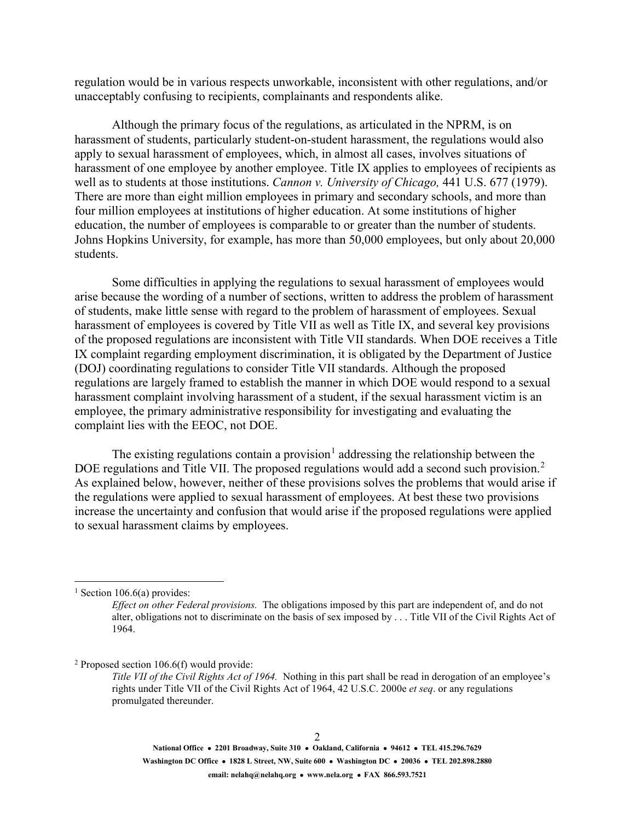regulation would be in various respects unworkable, inconsistent with other regulations, and/or unacceptably confusing to recipients, complainants and respondents alike.

Although the primary focus of the regulations, as articulated in the NPRM, is on harassment of students, particularly student-on-student harassment, the regulations would also apply to sexual harassment of employees, which, in almost all cases, involves situations of harassment of one employee by another employee. Title IX applies to employees of recipients as well as to students at those institutions. *Cannon v. University of Chicago,* 441 U.S. 677 (1979). There are more than eight million employees in primary and secondary schools, and more than four million employees at institutions of higher education. At some institutions of higher education, the number of employees is comparable to or greater than the number of students. Johns Hopkins University, for example, has more than 50,000 employees, but only about 20,000 students.

Some difficulties in applying the regulations to sexual harassment of employees would arise because the wording of a number of sections, written to address the problem of harassment of students, make little sense with regard to the problem of harassment of employees. Sexual harassment of employees is covered by Title VII as well as Title IX, and several key provisions of the proposed regulations are inconsistent with Title VII standards. When DOE receives a Title IX complaint regarding employment discrimination, it is obligated by the Department of Justice (DOJ) coordinating regulations to consider Title VII standards. Although the proposed regulations are largely framed to establish the manner in which DOE would respond to a sexual harassment complaint involving harassment of a student, if the sexual harassment victim is an employee, the primary administrative responsibility for investigating and evaluating the complaint lies with the EEOC, not DOE.

The existing regulations contain a provision<sup>[1](#page-1-0)</sup> addressing the relationship between the DOE regulations and Title VII. The proposed regulations would add a second such provision.<sup>[2](#page-1-1)</sup> As explained below, however, neither of these provisions solves the problems that would arise if the regulations were applied to sexual harassment of employees. At best these two provisions increase the uncertainty and confusion that would arise if the proposed regulations were applied to sexual harassment claims by employees.

<span id="page-1-1"></span> $2$  Proposed section 106.6(f) would provide:

<span id="page-1-0"></span><sup>&</sup>lt;sup>1</sup> Section 106.6(a) provides:

*Effect on other Federal provisions.* The obligations imposed by this part are independent of, and do not alter, obligations not to discriminate on the basis of sex imposed by . . . Title VII of the Civil Rights Act of 1964.

*Title VII of the Civil Rights Act of 1964.* Nothing in this part shall be read in derogation of an employee's rights under Title VII of the Civil Rights Act of 1964, 42 U.S.C. 2000e *et seq*. or any regulations promulgated thereunder.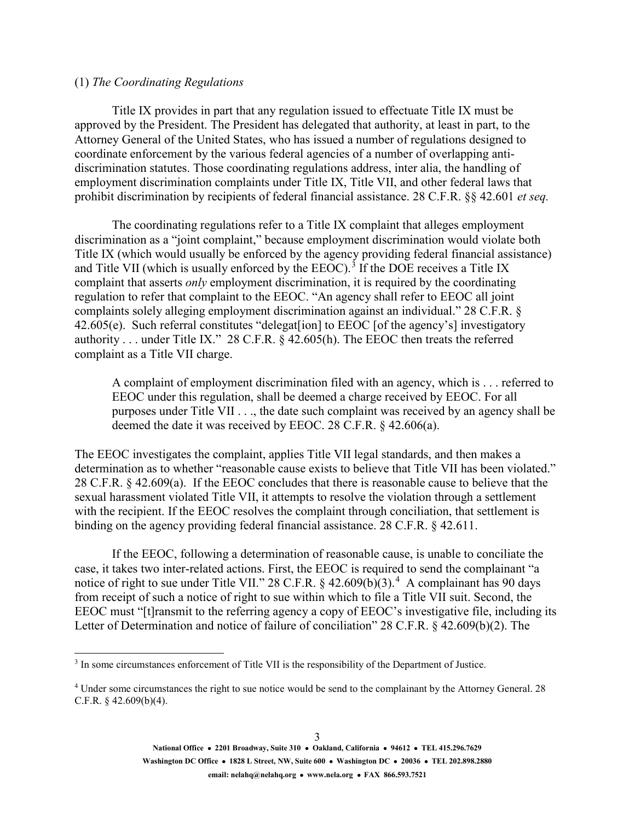#### (1) *The Coordinating Regulations*

Title IX provides in part that any regulation issued to effectuate Title IX must be approved by the President. The President has delegated that authority, at least in part, to the Attorney General of the United States, who has issued a number of regulations designed to coordinate enforcement by the various federal agencies of a number of overlapping antidiscrimination statutes. Those coordinating regulations address, inter alia, the handling of employment discrimination complaints under Title IX, Title VII, and other federal laws that prohibit discrimination by recipients of federal financial assistance. 28 C.F.R. §§ 42.601 *et seq.*

The coordinating regulations refer to a Title IX complaint that alleges employment discrimination as a "joint complaint," because employment discrimination would violate both Title IX (which would usually be enforced by the agency providing federal financial assistance) and Title VII (which is usually enforced by the EEOC).<sup>[3](#page-2-0)</sup> If the DOE receives a Title IX complaint that asserts *only* employment discrimination, it is required by the coordinating regulation to refer that complaint to the EEOC. "An agency shall refer to EEOC all joint complaints solely alleging employment discrimination against an individual." 28 C.F.R. § 42.605(e). Such referral constitutes "delegat[ion] to EEOC [of the agency's] investigatory authority . . . under Title IX." 28 C.F.R. § 42.605(h). The EEOC then treats the referred complaint as a Title VII charge.

A complaint of employment discrimination filed with an agency, which is . . . referred to EEOC under this regulation, shall be deemed a charge received by EEOC. For all purposes under Title VII . . ., the date such complaint was received by an agency shall be deemed the date it was received by EEOC. 28 C.F.R. § 42.606(a).

The EEOC investigates the complaint, applies Title VII legal standards, and then makes a determination as to whether "reasonable cause exists to believe that Title VII has been violated." 28 C.F.R. § 42.609(a). If the EEOC concludes that there is reasonable cause to believe that the sexual harassment violated Title VII, it attempts to resolve the violation through a settlement with the recipient. If the EEOC resolves the complaint through conciliation, that settlement is binding on the agency providing federal financial assistance. 28 C.F.R. § 42.611.

If the EEOC, following a determination of reasonable cause, is unable to conciliate the case, it takes two inter-related actions. First, the EEOC is required to send the complainant "a notice of right to sue under Title VII." 28 C.F.R.  $\S$  [4](#page-2-1)2.609(b)(3).<sup>4</sup> A complainant has 90 days from receipt of such a notice of right to sue within which to file a Title VII suit. Second, the EEOC must "[t]ransmit to the referring agency a copy of EEOC's investigative file, including its Letter of Determination and notice of failure of conciliation" 28 C.F.R. § 42.609(b)(2). The

<span id="page-2-0"></span><sup>&</sup>lt;sup>3</sup> In some circumstances enforcement of Title VII is the responsibility of the Department of Justice.

<span id="page-2-1"></span><sup>4</sup> Under some circumstances the right to sue notice would be send to the complainant by the Attorney General. 28 C.F.R. § 42.609(b)(4).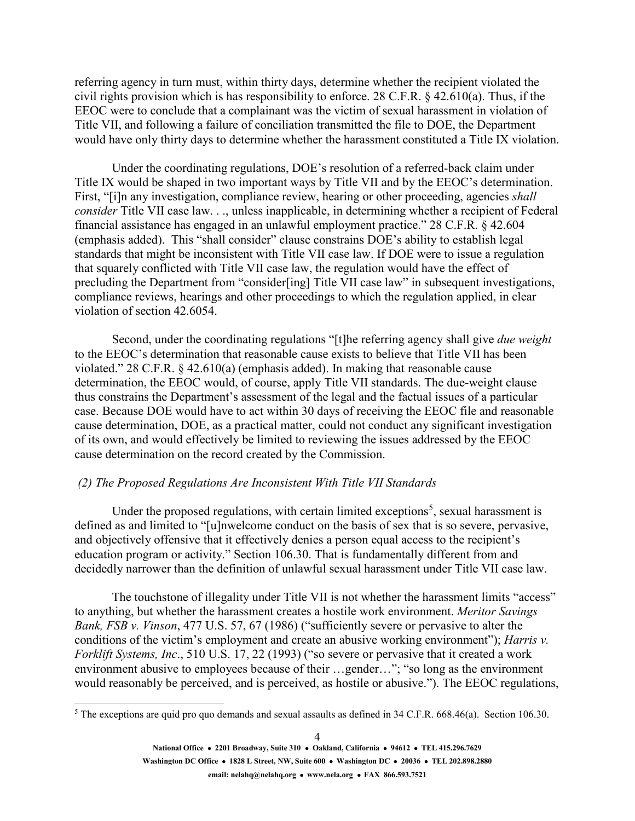referring agency in turn must, within thirty days, determine whether the recipient violated the civil rights provision which is has responsibility to enforce. 28 C.F.R. § 42.610(a). Thus, if the EEOC were to conclude that a complainant was the victim of sexual harassment in violation of Title VII, and following a failure of conciliation transmitted the file to DOE, the Department would have only thirty days to determine whether the harassment constituted a Title IX violation.

Under the coordinating regulations, DOE's resolution of a referred-back claim under Title IX would be shaped in two important ways by Title VII and by the EEOC's determination. First, "[i]n any investigation, compliance review, hearing or other proceeding, agencies *shall consider* Title VII case law. . ., unless inapplicable, in determining whether a recipient of Federal financial assistance has engaged in an unlawful employment practice." 28 C.F.R. § 42.604 (emphasis added). This "shall consider" clause constrains DOE's ability to establish legal standards that might be inconsistent with Title VII case law. If DOE were to issue a regulation that squarely conflicted with Title VII case law, the regulation would have the effect of precluding the Department from "consider[ing] Title VII case law" in subsequent investigations, compliance reviews, hearings and other proceedings to which the regulation applied, in clear violation of section 42.6054.

Second, under the coordinating regulations "[t]he referring agency shall give *due weight* to the EEOC's determination that reasonable cause exists to believe that Title VII has been violated." 28 C.F.R. § 42.610(a) (emphasis added). In making that reasonable cause determination, the EEOC would, of course, apply Title VII standards. The due-weight clause thus constrains the Department's assessment of the legal and the factual issues of a particular case. Because DOE would have to act within 30 days of receiving the EEOC file and reasonable cause determination, DOE, as a practical matter, could not conduct any significant investigation of its own, and would effectively be limited to reviewing the issues addressed by the EEOC cause determination on the record created by the Commission.

#### *(2) The Proposed Regulations Are Inconsistent With Title VII Standards*

Under the proposed regulations, with certain limited exceptions<sup>[5](#page-3-0)</sup>, sexual harassment is defined as and limited to "[u]nwelcome conduct on the basis of sex that is so severe, pervasive, and objectively offensive that it effectively denies a person equal access to the recipient's education program or activity." Section 106.30. That is fundamentally different from and decidedly narrower than the definition of unlawful sexual harassment under Title VII case law.

The touchstone of illegality under Title VII is not whether the harassment limits "access" to anything, but whether the harassment creates a hostile work environment. *Meritor Savings Bank, FSB v. Vinson*, 477 U.S. 57, 67 (1986) ("sufficiently severe or pervasive to alter the conditions of the victim's employment and create an abusive working environment"); *Harris v. Forklift Systems, Inc*., 510 U.S. 17, 22 (1993) ("so severe or pervasive that it created a work environment abusive to employees because of their …gender…"; "so long as the environment would reasonably be perceived, and is perceived, as hostile or abusive."). The EEOC regulations,

<span id="page-3-0"></span> $5$  The exceptions are quid pro quo demands and sexual assaults as defined in 34 C.F.R. 668.46(a). Section 106.30.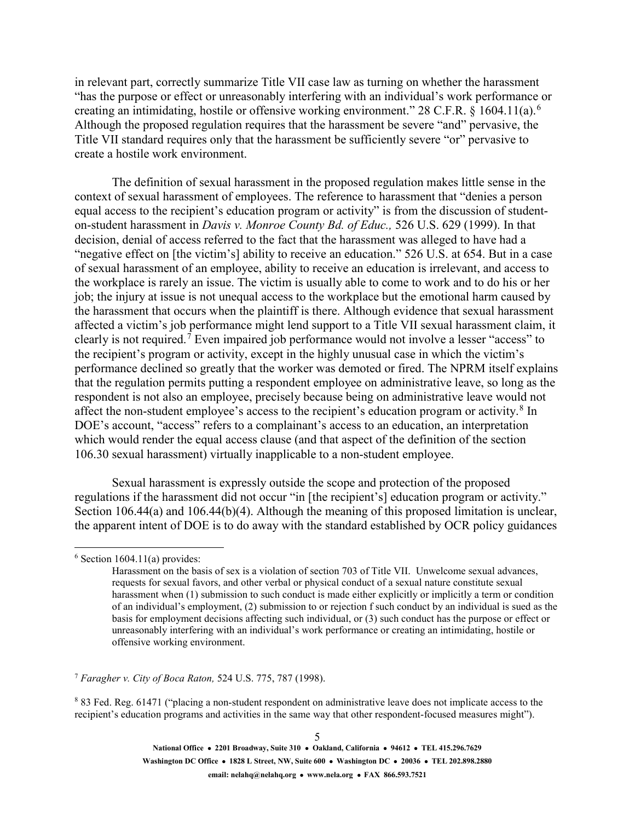in relevant part, correctly summarize Title VII case law as turning on whether the harassment "has the purpose or effect or unreasonably interfering with an individual's work performance or creating an intimidating, hostile or offensive working environment." 28 C.F.R. § 1[6](#page-4-0)04.11(a).<sup>6</sup> Although the proposed regulation requires that the harassment be severe "and" pervasive, the Title VII standard requires only that the harassment be sufficiently severe "or" pervasive to create a hostile work environment.

The definition of sexual harassment in the proposed regulation makes little sense in the context of sexual harassment of employees. The reference to harassment that "denies a person equal access to the recipient's education program or activity" is from the discussion of studenton-student harassment in *Davis v. Monroe County Bd. of Educ.,* 526 U.S. 629 (1999). In that decision, denial of access referred to the fact that the harassment was alleged to have had a "negative effect on [the victim's] ability to receive an education." 526 U.S. at 654. But in a case of sexual harassment of an employee, ability to receive an education is irrelevant, and access to the workplace is rarely an issue. The victim is usually able to come to work and to do his or her job; the injury at issue is not unequal access to the workplace but the emotional harm caused by the harassment that occurs when the plaintiff is there. Although evidence that sexual harassment affected a victim's job performance might lend support to a Title VII sexual harassment claim, it clearly is not required.<sup>[7](#page-4-1)</sup> Even impaired job performance would not involve a lesser "access" to the recipient's program or activity, except in the highly unusual case in which the victim's performance declined so greatly that the worker was demoted or fired. The NPRM itself explains that the regulation permits putting a respondent employee on administrative leave, so long as the respondent is not also an employee, precisely because being on administrative leave would not affect the non-student employee's access to the recipient's education program or activity. $8 \text{ In }$  $8 \text{ In }$ DOE's account, "access" refers to a complainant's access to an education, an interpretation which would render the equal access clause (and that aspect of the definition of the section 106.30 sexual harassment) virtually inapplicable to a non-student employee.

Sexual harassment is expressly outside the scope and protection of the proposed regulations if the harassment did not occur "in [the recipient's] education program or activity." Section 106.44(a) and 106.44(b)(4). Although the meaning of this proposed limitation is unclear, the apparent intent of DOE is to do away with the standard established by OCR policy guidances

<span id="page-4-1"></span><sup>7</sup> *Faragher v. City of Boca Raton,* 524 U.S. 775, 787 (1998).

<span id="page-4-0"></span> $6$  Section 1604.11(a) provides:

Harassment on the basis of sex is a violation of section 703 of Title VII. Unwelcome sexual advances, requests for sexual favors, and other verbal or physical conduct of a sexual nature constitute sexual harassment when (1) submission to such conduct is made either explicitly or implicitly a term or condition of an individual's employment, (2) submission to or rejection f such conduct by an individual is sued as the basis for employment decisions affecting such individual, or (3) such conduct has the purpose or effect or unreasonably interfering with an individual's work performance or creating an intimidating, hostile or offensive working environment.

<span id="page-4-2"></span><sup>8</sup> 83 Fed. Reg. 61471 ("placing a non-student respondent on administrative leave does not implicate access to the recipient's education programs and activities in the same way that other respondent-focused measures might").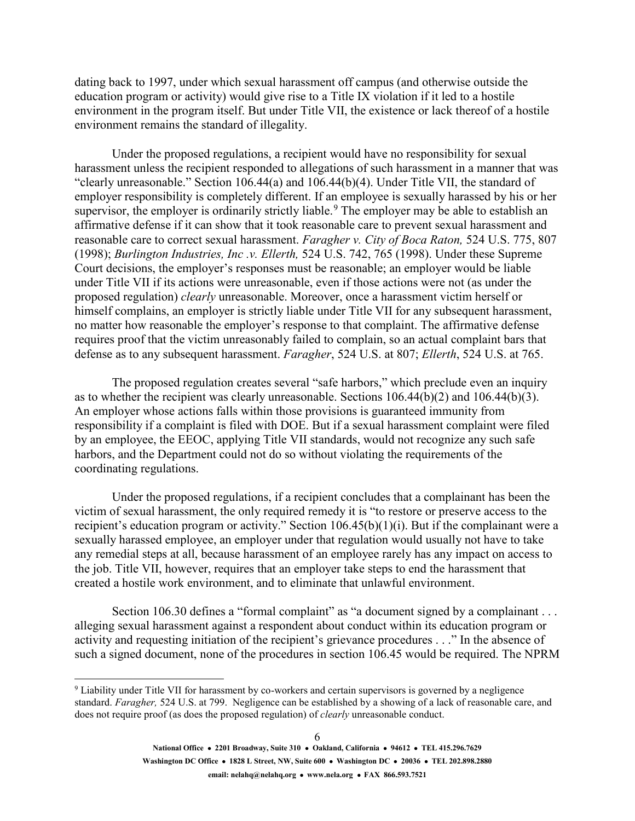dating back to 1997, under which sexual harassment off campus (and otherwise outside the education program or activity) would give rise to a Title IX violation if it led to a hostile environment in the program itself. But under Title VII, the existence or lack thereof of a hostile environment remains the standard of illegality.

Under the proposed regulations, a recipient would have no responsibility for sexual harassment unless the recipient responded to allegations of such harassment in a manner that was "clearly unreasonable." Section 106.44(a) and 106.44(b)(4). Under Title VII, the standard of employer responsibility is completely different. If an employee is sexually harassed by his or her supervisor, the employer is ordinarily strictly liable.<sup>[9](#page-5-0)</sup> The employer may be able to establish an affirmative defense if it can show that it took reasonable care to prevent sexual harassment and reasonable care to correct sexual harassment. *Faragher v. City of Boca Raton,* 524 U.S. 775, 807 (1998); *Burlington Industries, Inc .v. Ellerth,* 524 U.S. 742, 765 (1998). Under these Supreme Court decisions, the employer's responses must be reasonable; an employer would be liable under Title VII if its actions were unreasonable, even if those actions were not (as under the proposed regulation) *clearly* unreasonable. Moreover, once a harassment victim herself or himself complains, an employer is strictly liable under Title VII for any subsequent harassment, no matter how reasonable the employer's response to that complaint. The affirmative defense requires proof that the victim unreasonably failed to complain, so an actual complaint bars that defense as to any subsequent harassment. *Faragher*, 524 U.S. at 807; *Ellerth*, 524 U.S. at 765.

The proposed regulation creates several "safe harbors," which preclude even an inquiry as to whether the recipient was clearly unreasonable. Sections 106.44(b)(2) and 106.44(b)(3). An employer whose actions falls within those provisions is guaranteed immunity from responsibility if a complaint is filed with DOE. But if a sexual harassment complaint were filed by an employee, the EEOC, applying Title VII standards, would not recognize any such safe harbors, and the Department could not do so without violating the requirements of the coordinating regulations.

Under the proposed regulations, if a recipient concludes that a complainant has been the victim of sexual harassment, the only required remedy it is "to restore or preserve access to the recipient's education program or activity." Section 106.45(b)(1)(i). But if the complainant were a sexually harassed employee, an employer under that regulation would usually not have to take any remedial steps at all, because harassment of an employee rarely has any impact on access to the job. Title VII, however, requires that an employer take steps to end the harassment that created a hostile work environment, and to eliminate that unlawful environment.

Section 106.30 defines a "formal complaint" as "a document signed by a complainant . . . alleging sexual harassment against a respondent about conduct within its education program or activity and requesting initiation of the recipient's grievance procedures . . ." In the absence of such a signed document, none of the procedures in section 106.45 would be required. The NPRM

<span id="page-5-0"></span><sup>&</sup>lt;sup>9</sup> Liability under Title VII for harassment by co-workers and certain supervisors is governed by a negligence standard. *Faragher,* 524 U.S. at 799. Negligence can be established by a showing of a lack of reasonable care, and does not require proof (as does the proposed regulation) of *clearly* unreasonable conduct.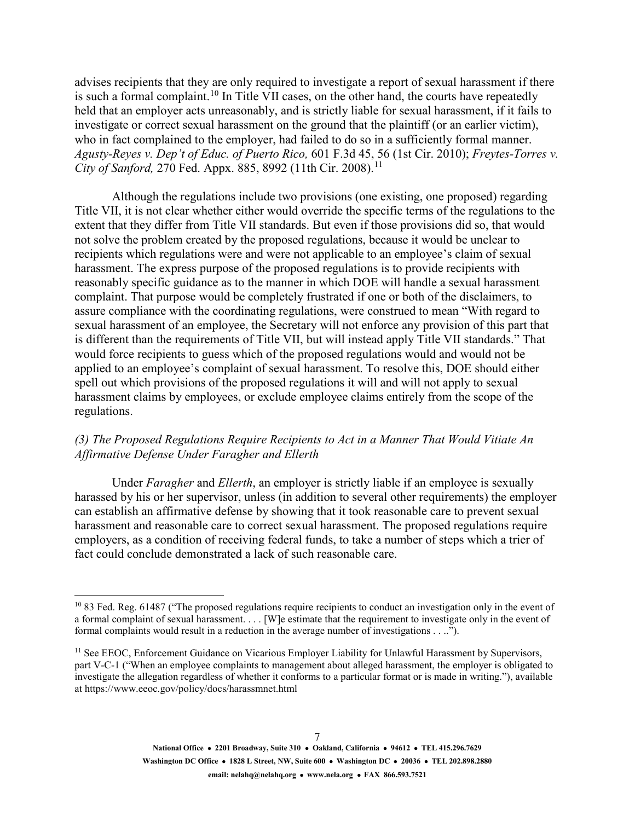advises recipients that they are only required to investigate a report of sexual harassment if there is such a formal complaint.<sup>[10](#page-6-0)</sup> In Title VII cases, on the other hand, the courts have repeatedly held that an employer acts unreasonably, and is strictly liable for sexual harassment, if it fails to investigate or correct sexual harassment on the ground that the plaintiff (or an earlier victim), who in fact complained to the employer, had failed to do so in a sufficiently formal manner. *Agusty-Reyes v. Dep't of Educ. of Puerto Rico,* 601 F.3d 45, 56 (1st Cir. 2010); *Freytes-Torres v. City of Sanford, 270 Fed. Appx. 885, 8992 ([11](#page-6-1)th Cir. 2008).*<sup>11</sup>

Although the regulations include two provisions (one existing, one proposed) regarding Title VII, it is not clear whether either would override the specific terms of the regulations to the extent that they differ from Title VII standards. But even if those provisions did so, that would not solve the problem created by the proposed regulations, because it would be unclear to recipients which regulations were and were not applicable to an employee's claim of sexual harassment. The express purpose of the proposed regulations is to provide recipients with reasonably specific guidance as to the manner in which DOE will handle a sexual harassment complaint. That purpose would be completely frustrated if one or both of the disclaimers, to assure compliance with the coordinating regulations, were construed to mean "With regard to sexual harassment of an employee, the Secretary will not enforce any provision of this part that is different than the requirements of Title VII, but will instead apply Title VII standards." That would force recipients to guess which of the proposed regulations would and would not be applied to an employee's complaint of sexual harassment. To resolve this, DOE should either spell out which provisions of the proposed regulations it will and will not apply to sexual harassment claims by employees, or exclude employee claims entirely from the scope of the regulations.

## *(3) The Proposed Regulations Require Recipients to Act in a Manner That Would Vitiate An Affirmative Defense Under Faragher and Ellerth*

Under *Faragher* and *Ellerth*, an employer is strictly liable if an employee is sexually harassed by his or her supervisor, unless (in addition to several other requirements) the employer can establish an affirmative defense by showing that it took reasonable care to prevent sexual harassment and reasonable care to correct sexual harassment. The proposed regulations require employers, as a condition of receiving federal funds, to take a number of steps which a trier of fact could conclude demonstrated a lack of such reasonable care.

<span id="page-6-0"></span><sup>&</sup>lt;sup>10</sup> 83 Fed. Reg. 61487 ("The proposed regulations require recipients to conduct an investigation only in the event of a formal complaint of sexual harassment. . . . [W]e estimate that the requirement to investigate only in the event of formal complaints would result in a reduction in the average number of investigations . . ..").

<span id="page-6-1"></span><sup>&</sup>lt;sup>11</sup> See EEOC, Enforcement Guidance on Vicarious Employer Liability for Unlawful Harassment by Supervisors, part V-C-1 ("When an employee complaints to management about alleged harassment, the employer is obligated to investigate the allegation regardless of whether it conforms to a particular format or is made in writing."), available a[t https://www.eeoc.gov/policy/docs/harassmnet.html](https://www.eeoc.gov/policy/docs/harassmnet.html)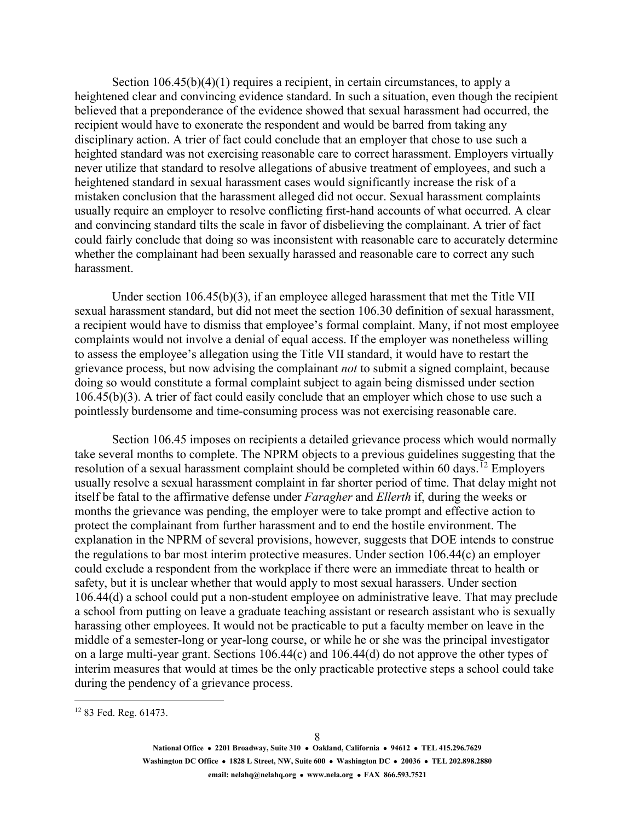Section  $106.45(b)(4)(1)$  requires a recipient, in certain circumstances, to apply a heightened clear and convincing evidence standard. In such a situation, even though the recipient believed that a preponderance of the evidence showed that sexual harassment had occurred, the recipient would have to exonerate the respondent and would be barred from taking any disciplinary action. A trier of fact could conclude that an employer that chose to use such a heighted standard was not exercising reasonable care to correct harassment. Employers virtually never utilize that standard to resolve allegations of abusive treatment of employees, and such a heightened standard in sexual harassment cases would significantly increase the risk of a mistaken conclusion that the harassment alleged did not occur. Sexual harassment complaints usually require an employer to resolve conflicting first-hand accounts of what occurred. A clear and convincing standard tilts the scale in favor of disbelieving the complainant. A trier of fact could fairly conclude that doing so was inconsistent with reasonable care to accurately determine whether the complainant had been sexually harassed and reasonable care to correct any such harassment.

Under section 106.45(b)(3), if an employee alleged harassment that met the Title VII sexual harassment standard, but did not meet the section 106.30 definition of sexual harassment, a recipient would have to dismiss that employee's formal complaint. Many, if not most employee complaints would not involve a denial of equal access. If the employer was nonetheless willing to assess the employee's allegation using the Title VII standard, it would have to restart the grievance process, but now advising the complainant *not* to submit a signed complaint, because doing so would constitute a formal complaint subject to again being dismissed under section 106.45(b)(3). A trier of fact could easily conclude that an employer which chose to use such a pointlessly burdensome and time-consuming process was not exercising reasonable care.

Section 106.45 imposes on recipients a detailed grievance process which would normally take several months to complete. The NPRM objects to a previous guidelines suggesting that the resolution of a sexual harassment complaint should be completed within 60 days.<sup>[12](#page-7-0)</sup> Employers usually resolve a sexual harassment complaint in far shorter period of time. That delay might not itself be fatal to the affirmative defense under *Faragher* and *Ellerth* if, during the weeks or months the grievance was pending, the employer were to take prompt and effective action to protect the complainant from further harassment and to end the hostile environment. The explanation in the NPRM of several provisions, however, suggests that DOE intends to construe the regulations to bar most interim protective measures. Under section 106.44(c) an employer could exclude a respondent from the workplace if there were an immediate threat to health or safety, but it is unclear whether that would apply to most sexual harassers. Under section 106.44(d) a school could put a non-student employee on administrative leave. That may preclude a school from putting on leave a graduate teaching assistant or research assistant who is sexually harassing other employees. It would not be practicable to put a faculty member on leave in the middle of a semester-long or year-long course, or while he or she was the principal investigator on a large multi-year grant. Sections 106.44(c) and 106.44(d) do not approve the other types of interim measures that would at times be the only practicable protective steps a school could take during the pendency of a grievance process.

**National Office 2201 Broadway, Suite 310 Oakland, California 94612 TEL 415.296.7629 Washington DC Office 1828 L Street, NW, Suite 600 Washington DC 20036 TEL 202.898.2880 email: nelahq@nelahq.org www.nela.org FAX 866.593.7521**

<span id="page-7-0"></span> <sup>12</sup> 83 Fed. Reg. 61473.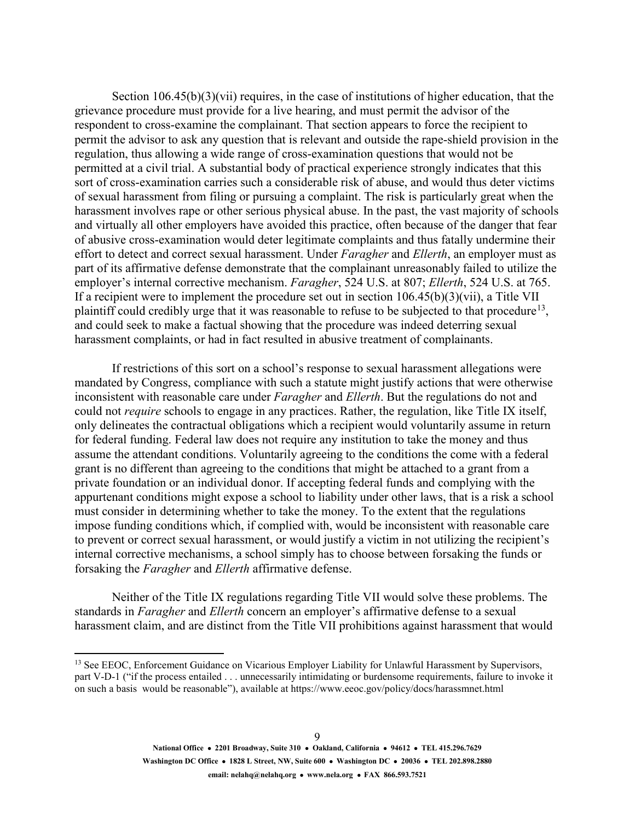Section 106.45(b)(3)(vii) requires, in the case of institutions of higher education, that the grievance procedure must provide for a live hearing, and must permit the advisor of the respondent to cross-examine the complainant. That section appears to force the recipient to permit the advisor to ask any question that is relevant and outside the rape-shield provision in the regulation, thus allowing a wide range of cross-examination questions that would not be permitted at a civil trial. A substantial body of practical experience strongly indicates that this sort of cross-examination carries such a considerable risk of abuse, and would thus deter victims of sexual harassment from filing or pursuing a complaint. The risk is particularly great when the harassment involves rape or other serious physical abuse. In the past, the vast majority of schools and virtually all other employers have avoided this practice, often because of the danger that fear of abusive cross-examination would deter legitimate complaints and thus fatally undermine their effort to detect and correct sexual harassment. Under *Faragher* and *Ellerth*, an employer must as part of its affirmative defense demonstrate that the complainant unreasonably failed to utilize the employer's internal corrective mechanism. *Faragher*, 524 U.S. at 807; *Ellerth*, 524 U.S. at 765. If a recipient were to implement the procedure set out in section 106.45(b)(3)(vii), a Title VII plaintiff could credibly urge that it was reasonable to refuse to be subjected to that procedure<sup>[13](#page-8-0)</sup>, and could seek to make a factual showing that the procedure was indeed deterring sexual harassment complaints, or had in fact resulted in abusive treatment of complainants.

If restrictions of this sort on a school's response to sexual harassment allegations were mandated by Congress, compliance with such a statute might justify actions that were otherwise inconsistent with reasonable care under *Faragher* and *Ellerth*. But the regulations do not and could not *require* schools to engage in any practices. Rather, the regulation, like Title IX itself, only delineates the contractual obligations which a recipient would voluntarily assume in return for federal funding. Federal law does not require any institution to take the money and thus assume the attendant conditions. Voluntarily agreeing to the conditions the come with a federal grant is no different than agreeing to the conditions that might be attached to a grant from a private foundation or an individual donor. If accepting federal funds and complying with the appurtenant conditions might expose a school to liability under other laws, that is a risk a school must consider in determining whether to take the money. To the extent that the regulations impose funding conditions which, if complied with, would be inconsistent with reasonable care to prevent or correct sexual harassment, or would justify a victim in not utilizing the recipient's internal corrective mechanisms, a school simply has to choose between forsaking the funds or forsaking the *Faragher* and *Ellerth* affirmative defense.

Neither of the Title IX regulations regarding Title VII would solve these problems. The standards in *Faragher* and *Ellerth* concern an employer's affirmative defense to a sexual harassment claim, and are distinct from the Title VII prohibitions against harassment that would

<span id="page-8-0"></span><sup>&</sup>lt;sup>13</sup> See EEOC, Enforcement Guidance on Vicarious Employer Liability for Unlawful Harassment by Supervisors, part V-D-1 ("if the process entailed . . . unnecessarily intimidating or burdensome requirements, failure to invoke it on such a basis would be reasonable"), available a[t https://www.eeoc.gov/policy/docs/harassmnet.html](https://www.eeoc.gov/policy/docs/harassmnet.html)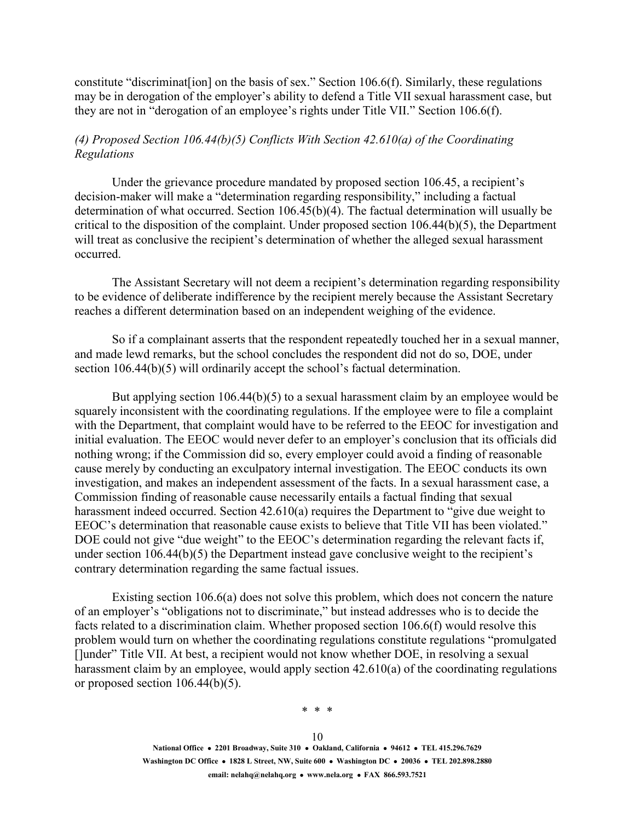constitute "discriminat[ion] on the basis of sex." Section 106.6(f). Similarly, these regulations may be in derogation of the employer's ability to defend a Title VII sexual harassment case, but they are not in "derogation of an employee's rights under Title VII." Section 106.6(f).

## *(4) Proposed Section 106.44(b)(5) Conflicts With Section 42.610(a) of the Coordinating Regulations*

Under the grievance procedure mandated by proposed section 106.45, a recipient's decision-maker will make a "determination regarding responsibility," including a factual determination of what occurred. Section 106.45(b)(4). The factual determination will usually be critical to the disposition of the complaint. Under proposed section 106.44(b)(5), the Department will treat as conclusive the recipient's determination of whether the alleged sexual harassment occurred.

The Assistant Secretary will not deem a recipient's determination regarding responsibility to be evidence of deliberate indifference by the recipient merely because the Assistant Secretary reaches a different determination based on an independent weighing of the evidence.

So if a complainant asserts that the respondent repeatedly touched her in a sexual manner, and made lewd remarks, but the school concludes the respondent did not do so, DOE, under section 106.44(b)(5) will ordinarily accept the school's factual determination.

But applying section 106.44(b)(5) to a sexual harassment claim by an employee would be squarely inconsistent with the coordinating regulations. If the employee were to file a complaint with the Department, that complaint would have to be referred to the EEOC for investigation and initial evaluation. The EEOC would never defer to an employer's conclusion that its officials did nothing wrong; if the Commission did so, every employer could avoid a finding of reasonable cause merely by conducting an exculpatory internal investigation. The EEOC conducts its own investigation, and makes an independent assessment of the facts. In a sexual harassment case, a Commission finding of reasonable cause necessarily entails a factual finding that sexual harassment indeed occurred. Section 42.610(a) requires the Department to "give due weight to EEOC's determination that reasonable cause exists to believe that Title VII has been violated." DOE could not give "due weight" to the EEOC's determination regarding the relevant facts if, under section 106.44(b)(5) the Department instead gave conclusive weight to the recipient's contrary determination regarding the same factual issues.

Existing section 106.6(a) does not solve this problem, which does not concern the nature of an employer's "obligations not to discriminate," but instead addresses who is to decide the facts related to a discrimination claim. Whether proposed section 106.6(f) would resolve this problem would turn on whether the coordinating regulations constitute regulations "promulgated []under" Title VII. At best, a recipient would not know whether DOE, in resolving a sexual harassment claim by an employee, would apply section 42.610(a) of the coordinating regulations or proposed section 106.44(b)(5).

\* \* \*